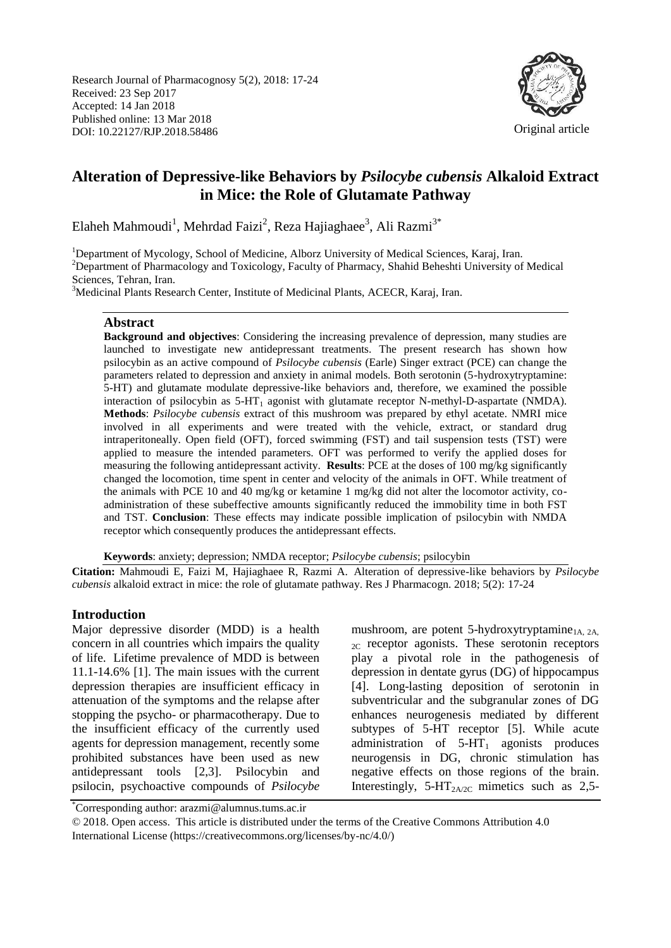Research Journal of Pharmacognosy 5(2), 2018: 17-24 Received: 23 Sep 2017 Accepted: 14 Jan 2018 Published online: 13 Mar 2018 DOI: 10.22127/RJP.2018.58486



Original article

# **Alteration of Depressive-like Behaviors by** *Psilocybe cubensis* **Alkaloid Extract in Mice: the Role of Glutamate Pathway**

Elaheh Mahmoudi<sup>1</sup>, Mehrdad Faizi<sup>2</sup>, Reza Hajiaghaee<sup>3</sup>, Ali Razmi<sup>3\*</sup>

<sup>1</sup>Department of Mycology, School of Medicine, Alborz University of Medical Sciences, Karaj, Iran. <sup>2</sup>Department of Pharmacology and Toxicology, Faculty of Pharmacy, Shahid Beheshti University of Medical Sciences, Tehran, Iran.

<sup>3</sup>Medicinal Plants Research Center, Institute of Medicinal Plants, ACECR, Karaj, Iran.

## **Abstract**

**Background and objectives**: Considering the increasing prevalence of depression, many studies are launched to investigate new antidepressant treatments. The present research has shown how psilocybin as an active compound of *Psilocybe cubensis* (Earle) Singer extract (PCE) can change the parameters related to depression and anxiety in animal models. Both serotonin (5-hydroxytryptamine: 5-HT) and glutamate modulate depressive-like behaviors and, therefore, we examined the possible interaction of psilocybin as  $5-HT_1$  agonist with glutamate receptor N-methyl-D-aspartate (NMDA). **Methods**: *Psilocybe cubensis* extract of this mushroom was prepared by ethyl acetate. NMRI mice involved in all experiments and were treated with the vehicle, extract, or standard drug intraperitoneally. Open field (OFT), forced swimming (FST) and tail suspension tests (TST) were applied to measure the intended parameters. OFT was performed to verify the applied doses for measuring the following antidepressant activity. **Results**: PCE at the doses of 100 mg/kg significantly changed the locomotion, time spent in center and velocity of the animals in OFT. While treatment of the animals with PCE 10 and 40 mg/kg or ketamine 1 mg/kg did not alter the locomotor activity, coadministration of these subeffective amounts significantly reduced the immobility time in both FST and TST. **Conclusion**: These effects may indicate possible implication of psilocybin with NMDA receptor which consequently produces the antidepressant effects.

**Keywords**: anxiety; depression; NMDA receptor; *Psilocybe cubensis*; psilocybin

**Citation:** Mahmoudi E, Faizi M, Hajiaghaee R, Razmi A. Alteration of depressive-like behaviors by *Psilocybe cubensis* alkaloid extract in mice: the role of glutamate pathway. Res J Pharmacogn. 2018; 5(2): 17-24

### **Introduction**

Major depressive disorder (MDD) is a health concern in all countries which impairs the quality of life. Lifetime prevalence of MDD is between 11.1-14.6% [1]. The main issues with the current depression therapies are insufficient efficacy in attenuation of the symptoms and the relapse after stopping the psycho- or pharmacotherapy. Due to the insufficient efficacy of the currently used agents for depression management, recently some prohibited substances have been used as new antidepressant tools [2,3]. Psilocybin and psilocin, psychoactive compounds of *Psilocybe*

mushroom, are potent 5-hydroxytryptamine<sub>1A, 2A</sub>  $_{2C}$  receptor agonists. These serotonin receptors play a pivotal role in the pathogenesis of depression in dentate gyrus (DG) of hippocampus [4]. Long-lasting deposition of serotonin in subventricular and the subgranular zones of DG enhances neurogenesis mediated by different subtypes of 5-HT receptor [5]. While acute administration of  $5-HT_1$  agonists produces neurogensis in DG, chronic stimulation has negative effects on those regions of the brain. Interestingly,  $5-HT<sub>2A/2C</sub>$  mimetics such as 2,5-

\*Corresponding author: arazmi@alumnus.tums.ac.ir

© 2018. Open access. This article is distributed under the terms of the Creative Commons Attribution 4.0 International License (https://creativecommons.org/licenses/by-nc/4.0/)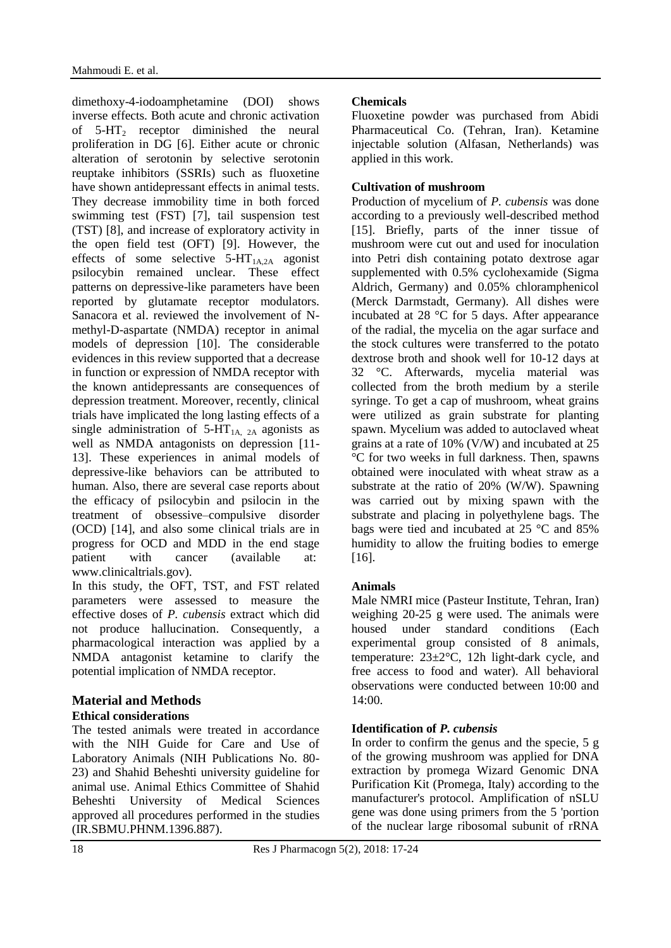dimethoxy-4-iodoamphetamine (DOI) shows inverse effects. Both acute and chronic activation of  $5-HT<sub>2</sub>$  receptor diminished the neural proliferation in DG [6]. Either acute or chronic alteration of serotonin by selective serotonin reuptake inhibitors (SSRIs) such as fluoxetine have shown antidepressant effects in animal tests. They decrease immobility time in both forced swimming test (FST) [7], tail suspension test (TST) [8], and increase of exploratory activity in the open field test (OFT) [9]. However, the effects of some selective  $5-HT<sub>1A,2A</sub>$  agonist psilocybin remained unclear. These effect patterns on depressive-like parameters have been reported by glutamate receptor modulators. Sanacora et al. reviewed the involvement of Nmethyl-D-aspartate (NMDA) receptor in animal models of depression [10]. The considerable evidences in this review supported that a decrease in function or expression of NMDA receptor with the known antidepressants are consequences of depression treatment. Moreover, recently, clinical trials have implicated the long lasting effects of a single administration of  $5-HT<sub>1A, 2A</sub>$  agonists as well as NMDA antagonists on depression [11- 13]. These experiences in animal models of depressive-like behaviors can be attributed to human. Also, there are several case reports about the efficacy of psilocybin and psilocin in the treatment of obsessive–compulsive disorder (OCD) [14], and also some clinical trials are in progress for OCD and MDD in the end stage patient with cancer (available at: www.clinicaltrials.gov).

In this study, the OFT, TST, and FST related parameters were assessed to measure the effective doses of *P. cubensis* extract which did not produce hallucination. Consequently, a pharmacological interaction was applied by a NMDA antagonist ketamine to clarify the potential implication of NMDA receptor.

# **Material and Methods**

## **Ethical considerations**

The tested animals were treated in accordance with the NIH Guide for Care and Use of Laboratory Animals (NIH Publications No. 80- 23) and Shahid Beheshti university guideline for animal use. Animal Ethics Committee of Shahid Beheshti University of Medical Sciences approved all procedures performed in the studies (IR.SBMU.PHNM.1396.887).

# **Chemicals**

Fluoxetine powder was purchased from Abidi Pharmaceutical Co. (Tehran, Iran). Ketamine injectable solution (Alfasan, Netherlands) was applied in this work.

## **Cultivation of mushroom**

Production of mycelium of *P. cubensis* was done according to a previously well-described method [15]. Briefly, parts of the inner tissue of mushroom were cut out and used for inoculation into Petri dish containing potato dextrose agar supplemented with 0.5% cyclohexamide (Sigma Aldrich, Germany) and 0.05% chloramphenicol (Merck Darmstadt, Germany). All dishes were incubated at 28 °C for 5 days. After appearance of the radial, the mycelia on the agar surface and the stock cultures were transferred to the potato dextrose broth and shook well for 10-12 days at 32 °C. Afterwards, mycelia material was collected from the broth medium by a sterile syringe. To get a cap of mushroom, wheat grains were utilized as grain substrate for planting spawn. Mycelium was added to autoclaved wheat grains at a rate of 10% (V/W) and incubated at 25 °C for two weeks in full darkness. Then, spawns obtained were inoculated with wheat straw as a substrate at the ratio of 20% (W/W). Spawning was carried out by mixing spawn with the substrate and placing in polyethylene bags. The bags were tied and incubated at 25 °C and 85% humidity to allow the fruiting bodies to emerge [16].

# **Animals**

Male NMRI mice (Pasteur Institute, Tehran, Iran) weighing 20-25 g were used. The animals were housed under standard conditions (Each experimental group consisted of 8 animals, temperature:  $23 \pm 2^{\circ}C$ , 12h light-dark cycle, and free access to food and water). All behavioral observations were conducted between 10:00 and 14:00.

# **Identification of** *P. cubensis*

In order to confirm the genus and the specie,  $5 \text{ g}$ of the growing mushroom was applied for DNA extraction by promega Wizard Genomic DNA Purification Kit (Promega, Italy) according to the manufacturer's protocol. Amplification of nSLU gene was done using primers from the 5 'portion of the nuclear large ribosomal subunit of rRNA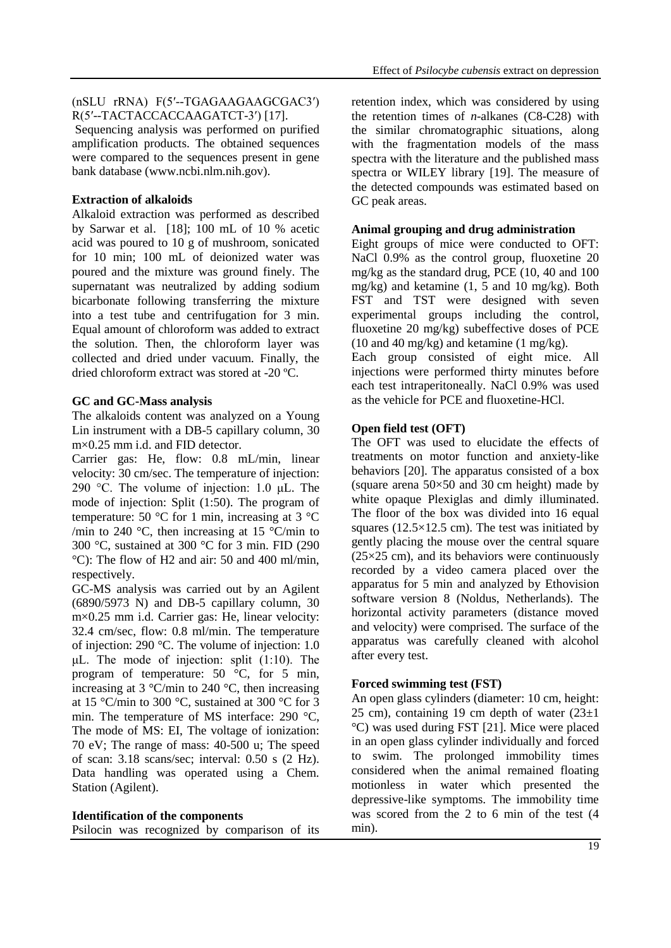#### (nSLU rRNA) F(5ʹ--TGAGAAGAAGCGAC3ʹ) R(5'--TACTACCACCAAGATCT-3') [17].

Sequencing analysis was performed on purified amplification products. The obtained sequences were compared to the sequences present in gene bank database (www.ncbi.nlm.nih.gov).

### **Extraction of alkaloids**

Alkaloid extraction was performed as described by Sarwar et al. [18]; 100 mL of 10 % acetic acid was poured to 10 g of mushroom, sonicated for 10 min; 100 mL of deionized water was poured and the mixture was ground finely. The supernatant was neutralized by adding sodium bicarbonate following transferring the mixture into a test tube and centrifugation for 3 min. Equal amount of chloroform was added to extract the solution. Then, the chloroform layer was collected and dried under vacuum. Finally, the dried chloroform extract was stored at -20 ºC.

## **GC and GC-Mass analysis**

The alkaloids content was analyzed on a Young Lin instrument with a DB-5 capillary column, 30 m×0.25 mm i.d. and FID detector.

Carrier gas: He, flow: 0.8 mL/min, linear velocity: 30 cm/sec. The temperature of injection: 290 °C. The volume of injection: 1.0 μL. The mode of injection: Split (1:50). The program of temperature: 50  $\degree$ C for 1 min, increasing at 3  $\degree$ C /min to 240  $\degree$ C, then increasing at 15  $\degree$ C/min to 300 °C, sustained at 300 °C for 3 min. FID (290 °C): The flow of H2 and air: 50 and 400 ml/min, respectively.

GC-MS analysis was carried out by an Agilent (6890/5973 N) and DB-5 capillary column, 30 m×0.25 mm i.d. Carrier gas: He, linear velocity: 32.4 cm/sec, flow: 0.8 ml/min. The temperature of injection: 290 °C. The volume of injection: 1.0 μL. The mode of injection: split (1:10). The program of temperature: 50 °C, for 5 min, increasing at  $3^{\circ}$ C/min to 240 °C, then increasing at 15 °C/min to 300 °C, sustained at 300 °C for 3 min. The temperature of MS interface: 290 °C, The mode of MS: EI, The voltage of ionization: 70 eV; The range of mass: 40-500 u; The speed of scan: 3.18 scans/sec; interval: 0.50 s (2 Hz). Data handling was operated using a Chem. Station (Agilent).

### **Identification of the components**

Psilocin was recognized by comparison of its

retention index, which was considered by using the retention times of *n*-alkanes (C8-C28) with the similar chromatographic situations, along with the fragmentation models of the mass spectra with the literature and the published mass spectra or WILEY library [19]. The measure of the detected compounds was estimated based on GC peak areas.

### **Animal grouping and drug administration**

Eight groups of mice were conducted to OFT: NaCl 0.9% as the control group, fluoxetine 20 mg/kg as the standard drug, PCE (10, 40 and 100 mg/kg) and ketamine (1, 5 and 10 mg/kg). Both FST and TST were designed with seven experimental groups including the control, fluoxetine 20 mg/kg) subeffective doses of PCE (10 and 40 mg/kg) and ketamine (1 mg/kg).

Each group consisted of eight mice. All injections were performed thirty minutes before each test intraperitoneally. NaCl 0.9% was used as the vehicle for PCE and fluoxetine-HCl.

### **Open field test (OFT)**

The OFT was used to elucidate the effects of treatments on motor function and anxiety-like behaviors [20]. The apparatus consisted of a box (square arena 50×50 and 30 cm height) made by white opaque Plexiglas and dimly illuminated. The floor of the box was divided into 16 equal squares  $(12.5\times12.5$  cm). The test was initiated by gently placing the mouse over the central square  $(25\times25$  cm), and its behaviors were continuously recorded by a video camera placed over the apparatus for 5 min and analyzed by Ethovision software version 8 (Noldus, Netherlands). The horizontal activity parameters (distance moved and velocity) were comprised. The surface of the apparatus was carefully cleaned with alcohol after every test.

### **Forced swimming test (FST)**

An open glass cylinders (diameter: 10 cm, height: 25 cm), containing 19 cm depth of water  $(23\pm 1)$ °C) was used during FST [21]. Mice were placed in an open glass cylinder individually and forced to swim. The prolonged immobility times considered when the animal remained floating motionless in water which presented the depressive-like symptoms. The immobility time was scored from the 2 to 6 min of the test (4 min).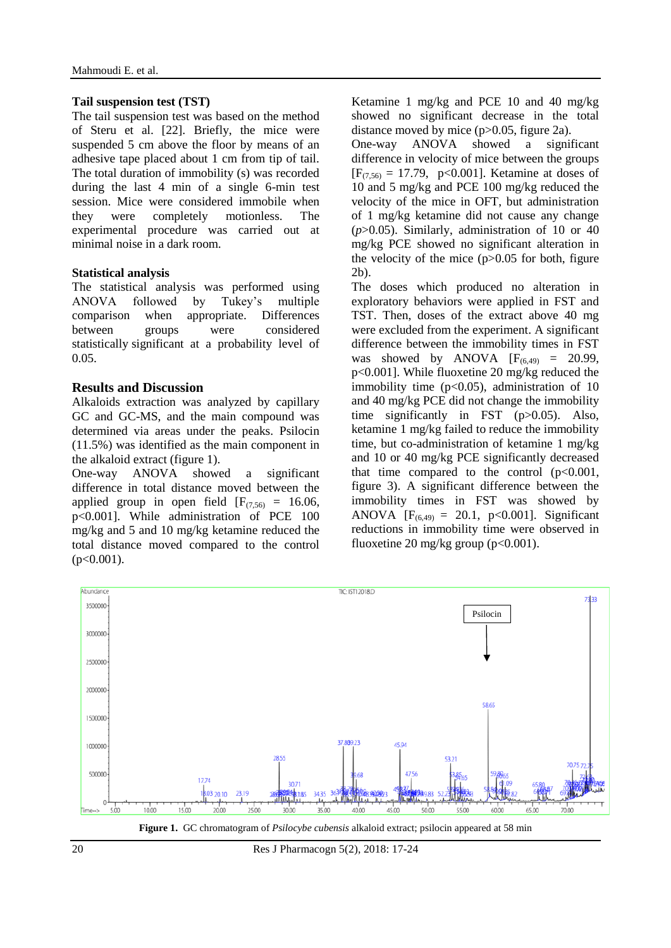#### **Tail suspension test (TST)**

The tail suspension test was based on the method of Steru et al. [22]. Briefly, the mice were suspended 5 cm above the floor by means of an adhesive tape placed about 1 cm from tip of tail. The total duration of immobility (s) was recorded during the last 4 min of a single 6-min test session. Mice were considered immobile when they were completely motionless. The experimental procedure was carried out at minimal noise in a dark room.

### **Statistical analysis**

The statistical analysis was performed using ANOVA followed by Tukey's multiple comparison when appropriate. Differences between groups were considered statistically significant at a probability level of 0.05.

## **Results and Discussion**

Alkaloids extraction was analyzed by capillary GC and GC-MS, and the main compound was determined via areas under the peaks. Psilocin (11.5%) was identified as the main component in the alkaloid extract (figure 1).

One-way ANOVA showed a significant difference in total distance moved between the applied group in open field  $[F_{(7,56)} = 16.06,$ p<0.001]. While administration of PCE 100 mg/kg and 5 and 10 mg/kg ketamine reduced the total distance moved compared to the control  $(p<0.001)$ .

Ketamine 1 mg/kg and PCE 10 and 40 mg/kg showed no significant decrease in the total distance moved by mice (p>0.05, figure 2a).

One-way ANOVA showed a significant difference in velocity of mice between the groups  $[F_{(7.56)} = 17.79, p<0.001]$ . Ketamine at doses of 10 and 5 mg/kg and PCE 100 mg/kg reduced the velocity of the mice in OFT, but administration of 1 mg/kg ketamine did not cause any change (*p*>0.05). Similarly, administration of 10 or 40 mg/kg PCE showed no significant alteration in the velocity of the mice  $(p>0.05$  for both, figure 2b).

The doses which produced no alteration in exploratory behaviors were applied in FST and TST. Then, doses of the extract above 40 mg were excluded from the experiment. A significant difference between the immobility times in FST was showed by ANOVA  $[F_{(6,49)} = 20.99]$ , p<0.001]. While fluoxetine 20 mg/kg reduced the immobility time  $(p<0.05)$ , administration of 10 and 40 mg/kg PCE did not change the immobility time significantly in FST (p>0.05). Also, ketamine 1 mg/kg failed to reduce the immobility time, but co-administration of ketamine 1 mg/kg and 10 or 40 mg/kg PCE significantly decreased that time compared to the control  $(p<0.001,$ figure 3). A significant difference between the immobility times in FST was showed by ANOVA  $[F_{(6,49)} = 20.1, p<0.001]$ . Significant reductions in immobility time were observed in fluoxetine 20 mg/kg group (p<0.001).



**Figure 1.** GC chromatogram of *Psilocybe cubensis* alkaloid extract; psilocin appeared at 58 min

20 Res J Pharmacogn 5(2), 2018: 17-24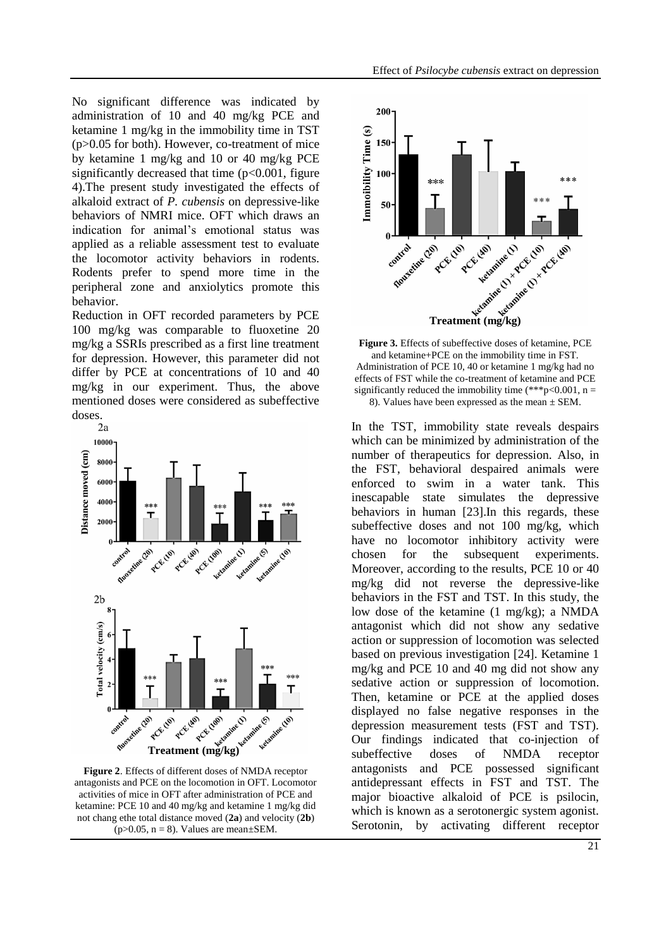No significant difference was indicated by administration of 10 and 40 mg/kg PCE and ketamine 1 mg/kg in the immobility time in TST (p>0.05 for both). However, co-treatment of mice by ketamine 1 mg/kg and 10 or 40 mg/kg PCE significantly decreased that time  $(p<0.001$ , figure 4).The present study investigated the effects of alkaloid extract of *P. cubensis* on depressive-like behaviors of NMRI mice. OFT which draws an indication for animal's emotional status was applied as a reliable assessment test to evaluate the locomotor activity behaviors in rodents. Rodents prefer to spend more time in the peripheral zone and anxiolytics promote this behavior.

Reduction in OFT recorded parameters by PCE 100 mg/kg was comparable to fluoxetine 20 mg/kg a SSRIs prescribed as a first line treatment for depression. However, this parameter did not differ by PCE at concentrations of 10 and 40 mg/kg in our experiment. Thus, the above mentioned doses were considered as subeffective doses.



**Figure 2**. Effects of different doses of NMDA receptor antagonists and PCE on the locomotion in OFT. Locomotor activities of mice in OFT after administration of PCE and ketamine: PCE 10 and 40 mg/kg and ketamine 1 mg/kg did not chang ethe total distance moved (**2a**) and velocity (**2b**)  $(p>0.05, n = 8)$ . Values are mean $\pm$ SEM.



**Figure 3.** Effects of subeffective doses of ketamine, PCE and ketamine+PCE on the immobility time in FST. Administration of PCE 10, 40 or ketamine 1 mg/kg had no effects of FST while the co-treatment of ketamine and PCE significantly reduced the immobility time (\*\*\*p<0.001,  $n =$ 8). Values have been expressed as the mean ± SEM.

In the TST, immobility state reveals despairs which can be minimized by administration of the number of therapeutics for depression. Also, in the FST, behavioral despaired animals were enforced to swim in a water tank. This inescapable state simulates the depressive behaviors in human [23].In this regards, these subeffective doses and not 100 mg/kg, which have no locomotor inhibitory activity were chosen for the subsequent experiments. Moreover, according to the results, PCE 10 or 40 mg/kg did not reverse the depressive-like behaviors in the FST and TST. In this study, the low dose of the ketamine (1 mg/kg); a NMDA antagonist which did not show any sedative action or suppression of locomotion was selected based on previous investigation [24]. Ketamine 1 mg/kg and PCE 10 and 40 mg did not show any sedative action or suppression of locomotion. Then, ketamine or PCE at the applied doses displayed no false negative responses in the depression measurement tests (FST and TST). Our findings indicated that co-injection of subeffective doses of NMDA receptor antagonists and PCE possessed significant antidepressant effects in FST and TST. The major bioactive alkaloid of PCE is psilocin, which is known as a serotonergic system agonist. Serotonin, by activating different receptor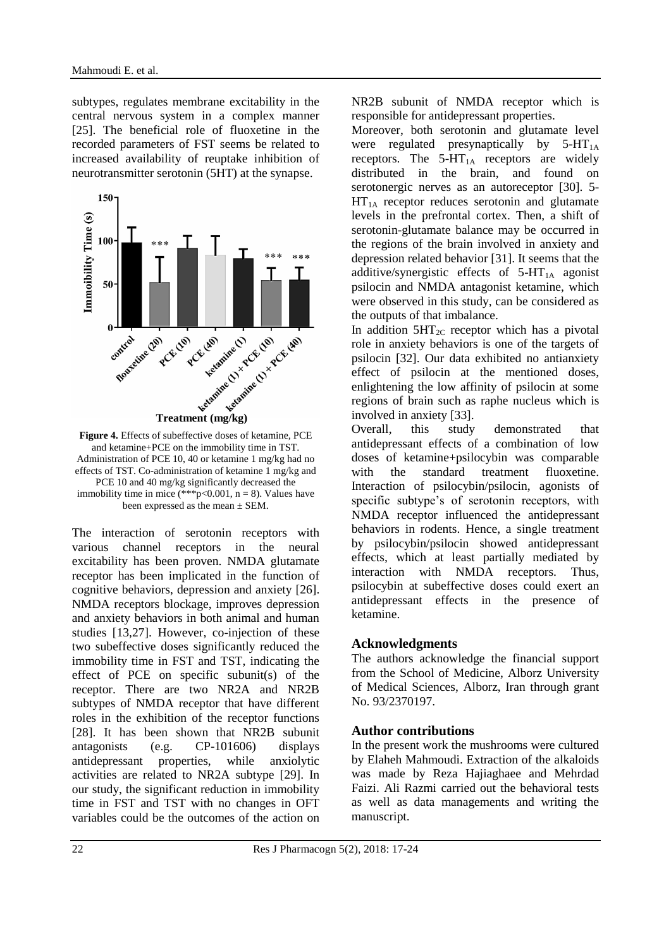subtypes, regulates membrane excitability in the central nervous system in a complex manner [25]. The beneficial role of fluoxetine in the recorded parameters of FST seems be related to increased availability of reuptake inhibition of neurotransmitter serotonin (5HT) at the synapse.



**Figure 4.** Effects of subeffective doses of ketamine, PCE and ketamine+PCE on the immobility time in TST. Administration of PCE 10, 40 or ketamine 1 mg/kg had no effects of TST. Co-administration of ketamine 1 mg/kg and PCE 10 and 40 mg/kg significantly decreased the immobility time in mice (\*\*\*p<0.001,  $n = 8$ ). Values have been expressed as the mean  $\pm$  SEM.

The interaction of serotonin receptors with various channel receptors in the neural excitability has been proven. NMDA glutamate receptor has been implicated in the function of cognitive behaviors, depression and anxiety [26]. NMDA receptors blockage, improves depression and anxiety behaviors in both animal and human studies [13,27]. However, co-injection of these two subeffective doses significantly reduced the immobility time in FST and TST, indicating the effect of PCE on specific subunit(s) of the receptor. There are two NR2A and NR2B subtypes of NMDA receptor that have different roles in the exhibition of the receptor functions [28]. It has been shown that NR2B subunit antagonists (e.g. CP-101606) displays antidepressant properties, while anxiolytic activities are related to NR2A subtype [29]. In our study, the significant reduction in immobility time in FST and TST with no changes in OFT variables could be the outcomes of the action on NR2B subunit of NMDA receptor which is responsible for antidepressant properties.

Moreover, both serotonin and glutamate level were regulated presynaptically by  $5-HT_{1A}$ receptors. The  $5-HT_{1A}$  receptors are widely distributed in the brain, and found on serotonergic nerves as an autoreceptor [30]. 5-  $HT<sub>1A</sub>$  receptor reduces serotonin and glutamate levels in the prefrontal cortex. Then, a shift of serotonin-glutamate balance may be occurred in the regions of the brain involved in anxiety and depression related behavior [31]. It seems that the additive/synergistic effects of  $5-HT_{1A}$  agonist psilocin and NMDA antagonist ketamine, which were observed in this study, can be considered as the outputs of that imbalance.

In addition  $5HT_{2C}$  receptor which has a pivotal role in anxiety behaviors is one of the targets of psilocin [32]. Our data exhibited no antianxiety effect of psilocin at the mentioned doses, enlightening the low affinity of psilocin at some regions of brain such as raphe nucleus which is involved in anxiety [33].

Overall, this study demonstrated that antidepressant effects of a combination of low doses of ketamine+psilocybin was comparable with the standard treatment fluoxetine. Interaction of psilocybin/psilocin, agonists of specific subtype's of serotonin receptors, with NMDA receptor influenced the antidepressant behaviors in rodents. Hence, a single treatment by psilocybin/psilocin showed antidepressant effects, which at least partially mediated by interaction with NMDA receptors. Thus, psilocybin at subeffective doses could exert an antidepressant effects in the presence of ketamine.

## **Acknowledgments**

The authors acknowledge the financial support from the School of Medicine, Alborz University of Medical Sciences, Alborz, Iran through grant No. 93/2370197.

## **Author contributions**

In the present work the mushrooms were cultured by Elaheh Mahmoudi. Extraction of the alkaloids was made by Reza Hajiaghaee and Mehrdad Faizi. Ali Razmi carried out the behavioral tests as well as data managements and writing the manuscript.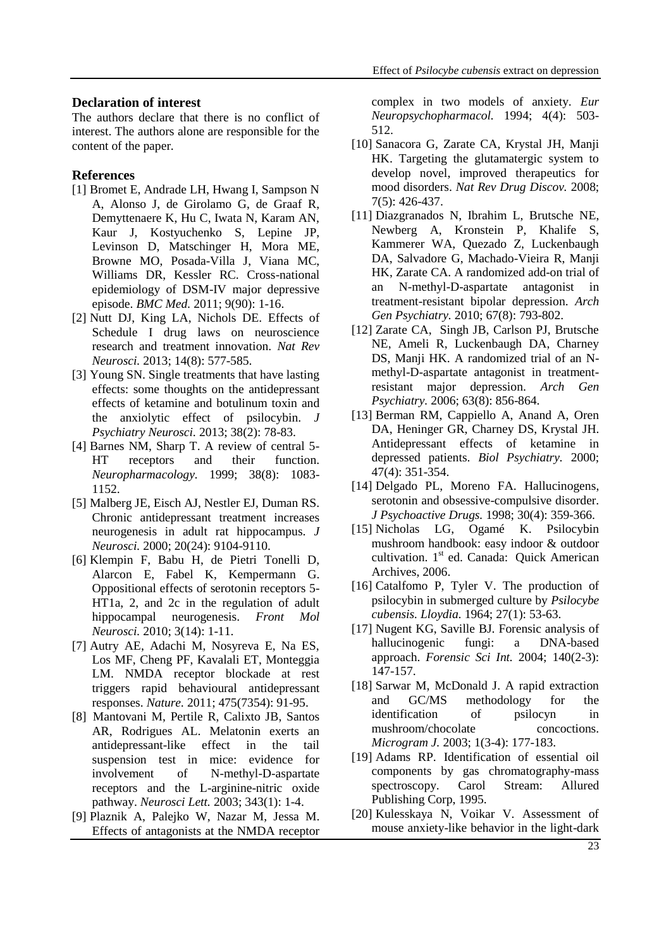#### **Declaration of interest**

The authors declare that there is no conflict of interest. The authors alone are responsible for the content of the paper.

#### **References**

- [1] Bromet E, Andrade LH, Hwang I, Sampson N A, Alonso J, de Girolamo G, de Graaf R, Demyttenaere K, Hu C, Iwata N, Karam AN, Kaur J, Kostyuchenko S, Lepine JP, Levinson D, Matschinger H, Mora ME, Browne MO, Posada-Villa J, Viana MC, Williams DR, Kessler RC. Cross-national epidemiology of DSM-IV major depressive episode. *BMC Med.* 2011; 9(90): 1-16.
- [2] Nutt DJ, King LA, Nichols DE. Effects of Schedule I drug laws on neuroscience research and treatment innovation. *Nat Rev Neurosci.* 2013; 14(8): 577-585.
- [3] Young SN. Single treatments that have lasting effects: some thoughts on the antidepressant effects of ketamine and botulinum toxin and the anxiolytic effect of psilocybin. *J Psychiatry Neurosci.* 2013; 38(2): 78-83.
- [4] Barnes NM, Sharp T. A review of central 5- HT receptors and their function. *Neuropharmacology.* 1999; 38(8): 1083- 1152.
- [5] Malberg JE, Eisch AJ, Nestler EJ, Duman RS. Chronic antidepressant treatment increases neurogenesis in adult rat hippocampus. *J Neurosci.* 2000; 20(24): 9104-9110.
- [6] Klempin F, Babu H, de Pietri Tonelli D, Alarcon E, Fabel K, Kempermann G. Oppositional effects of serotonin receptors 5- HT1a, 2, and 2c in the regulation of adult hippocampal neurogenesis. *Front Mol Neurosci.* 2010; 3(14): 1-11.
- [7] Autry AE, Adachi M, Nosyreva E, Na ES, Los MF, Cheng PF, Kavalali ET, Monteggia LM. NMDA receptor blockade at rest triggers rapid behavioural antidepressant responses. *Nature.* 2011; 475(7354): 91-95.
- [8] Mantovani M, Pertile R, Calixto JB, Santos AR, Rodrigues AL. Melatonin exerts an antidepressant-like effect in the tail suspension test in mice: evidence for involvement of N-methyl-D-aspartate receptors and the L-arginine-nitric oxide pathway. *Neurosci Lett.* 2003; 343(1): 1-4.
- [9] Plaznik A, Palejko W, Nazar M, Jessa M. Effects of antagonists at the NMDA receptor

complex in two models of anxiety. *Eur Neuropsychopharmacol.* 1994; 4(4): 503- 512.

- [10] Sanacora G, Zarate CA, Krystal JH, Manji HK. Targeting the glutamatergic system to develop novel, improved therapeutics for mood disorders. *Nat Rev Drug Discov.* 2008; 7(5): 426-437.
- [11] Diazgranados N, Ibrahim L, Brutsche NE, Newberg A, Kronstein P, Khalife S, Kammerer WA, Quezado Z, Luckenbaugh DA, Salvadore G, Machado-Vieira R, Manji HK, Zarate CA. A randomized add-on trial of an N-methyl-D-aspartate antagonist in treatment-resistant bipolar depression. *Arch Gen Psychiatry.* 2010; 67(8): 793-802.
- [12] Zarate CA, Singh JB, Carlson PJ, Brutsche NE, Ameli R, Luckenbaugh DA, Charney DS, Manji HK. A randomized trial of an Nmethyl-D-aspartate antagonist in treatmentresistant major depression. *Arch Gen Psychiatry.* 2006; 63(8): 856-864.
- [13] Berman RM, Cappiello A, Anand A, Oren DA, Heninger GR, Charney DS, Krystal JH. Antidepressant effects of ketamine in depressed patients. *Biol Psychiatry.* 2000; 47(4): 351-354.
- [14] Delgado PL, Moreno FA. Hallucinogens, serotonin and obsessive-compulsive disorder. *J Psychoactive Drugs.* 1998; 30(4): 359-366.
- [15] Nicholas LG, Ogamé K. Psilocybin mushroom handbook: easy indoor & outdoor cultivation. 1<sup>st</sup> ed. Canada: Quick American Archives, 2006.
- [16] Catalfomo P, Tyler V. The production of psilocybin in submerged culture by *Psilocybe cubensis. Lloydia.* 1964; 27(1): 53-63.
- [17] Nugent KG, Saville BJ. Forensic analysis of hallucinogenic fungi: a DNA-based approach. *Forensic Sci Int.* 2004; 140(2-3): 147-157.
- [18] Sarwar M, McDonald J. A rapid extraction and GC/MS methodology for the identification of psilocyn in mushroom/chocolate concoctions. *Microgram J.* 2003; 1(3-4): 177-183.
- [19] Adams RP. Identification of essential oil components by gas chromatography-mass spectroscopy. Carol Stream: Allured Publishing Corp, 1995.
- [20] Kulesskaya N, Voikar V. Assessment of mouse anxiety-like behavior in the light-dark